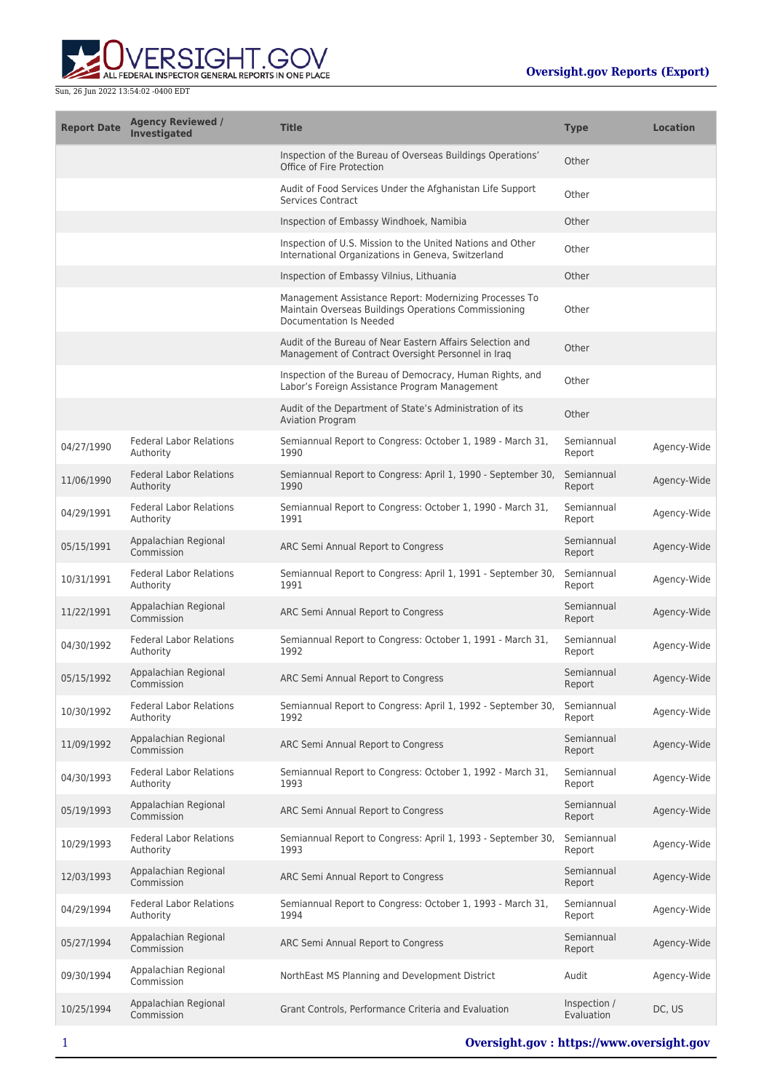

| <b>Report Date</b> | <b>Agency Reviewed /</b><br><b>Investigated</b> | <b>Title</b>                                                                                                                              | <b>Type</b>                | <b>Location</b> |
|--------------------|-------------------------------------------------|-------------------------------------------------------------------------------------------------------------------------------------------|----------------------------|-----------------|
|                    |                                                 | Inspection of the Bureau of Overseas Buildings Operations'<br>Office of Fire Protection                                                   | Other                      |                 |
|                    |                                                 | Audit of Food Services Under the Afghanistan Life Support<br><b>Services Contract</b>                                                     | Other                      |                 |
|                    |                                                 | Inspection of Embassy Windhoek, Namibia                                                                                                   | Other                      |                 |
|                    |                                                 | Inspection of U.S. Mission to the United Nations and Other<br>International Organizations in Geneva, Switzerland                          | Other                      |                 |
|                    |                                                 | Inspection of Embassy Vilnius, Lithuania                                                                                                  | Other                      |                 |
|                    |                                                 | Management Assistance Report: Modernizing Processes To<br>Maintain Overseas Buildings Operations Commissioning<br>Documentation Is Needed | Other                      |                 |
|                    |                                                 | Audit of the Bureau of Near Eastern Affairs Selection and<br>Management of Contract Oversight Personnel in Iraq                           | Other                      |                 |
|                    |                                                 | Inspection of the Bureau of Democracy, Human Rights, and<br>Labor's Foreign Assistance Program Management                                 | Other                      |                 |
|                    |                                                 | Audit of the Department of State's Administration of its<br><b>Aviation Program</b>                                                       | Other                      |                 |
| 04/27/1990         | <b>Federal Labor Relations</b><br>Authority     | Semiannual Report to Congress: October 1, 1989 - March 31,<br>1990                                                                        | Semiannual<br>Report       | Agency-Wide     |
| 11/06/1990         | <b>Federal Labor Relations</b><br>Authority     | Semiannual Report to Congress: April 1, 1990 - September 30,<br>1990                                                                      | Semiannual<br>Report       | Agency-Wide     |
| 04/29/1991         | <b>Federal Labor Relations</b><br>Authority     | Semiannual Report to Congress: October 1, 1990 - March 31,<br>1991                                                                        | Semiannual<br>Report       | Agency-Wide     |
| 05/15/1991         | Appalachian Regional<br>Commission              | ARC Semi Annual Report to Congress                                                                                                        | Semiannual<br>Report       | Agency-Wide     |
| 10/31/1991         | <b>Federal Labor Relations</b><br>Authority     | Semiannual Report to Congress: April 1, 1991 - September 30,<br>1991                                                                      | Semiannual<br>Report       | Agency-Wide     |
| 11/22/1991         | Appalachian Regional<br>Commission              | ARC Semi Annual Report to Congress                                                                                                        | Semiannual<br>Report       | Agency-Wide     |
| 04/30/1992         | <b>Federal Labor Relations</b><br>Authority     | Semiannual Report to Congress: October 1, 1991 - March 31,<br>1992                                                                        | Semiannual<br>Report       | Agency-Wide     |
| 05/15/1992         | Appalachian Regional<br>Commission              | ARC Semi Annual Report to Congress                                                                                                        | Semiannual<br>Report       | Agency-Wide     |
| 10/30/1992         | <b>Federal Labor Relations</b><br>Authority     | Semiannual Report to Congress: April 1, 1992 - September 30,<br>1992                                                                      | Semiannual<br>Report       | Agency-Wide     |
| 11/09/1992         | Appalachian Regional<br>Commission              | ARC Semi Annual Report to Congress                                                                                                        | Semiannual<br>Report       | Agency-Wide     |
| 04/30/1993         | <b>Federal Labor Relations</b><br>Authority     | Semiannual Report to Congress: October 1, 1992 - March 31,<br>1993                                                                        | Semiannual<br>Report       | Agency-Wide     |
| 05/19/1993         | Appalachian Regional<br>Commission              | ARC Semi Annual Report to Congress                                                                                                        | Semiannual<br>Report       | Agency-Wide     |
| 10/29/1993         | <b>Federal Labor Relations</b><br>Authority     | Semiannual Report to Congress: April 1, 1993 - September 30,<br>1993                                                                      | Semiannual<br>Report       | Agency-Wide     |
| 12/03/1993         | Appalachian Regional<br>Commission              | ARC Semi Annual Report to Congress                                                                                                        | Semiannual<br>Report       | Agency-Wide     |
| 04/29/1994         | <b>Federal Labor Relations</b><br>Authority     | Semiannual Report to Congress: October 1, 1993 - March 31,<br>1994                                                                        | Semiannual<br>Report       | Agency-Wide     |
| 05/27/1994         | Appalachian Regional<br>Commission              | ARC Semi Annual Report to Congress                                                                                                        | Semiannual<br>Report       | Agency-Wide     |
| 09/30/1994         | Appalachian Regional<br>Commission              | NorthEast MS Planning and Development District                                                                                            | Audit                      | Agency-Wide     |
| 10/25/1994         | Appalachian Regional<br>Commission              | Grant Controls, Performance Criteria and Evaluation                                                                                       | Inspection /<br>Evaluation | DC, US          |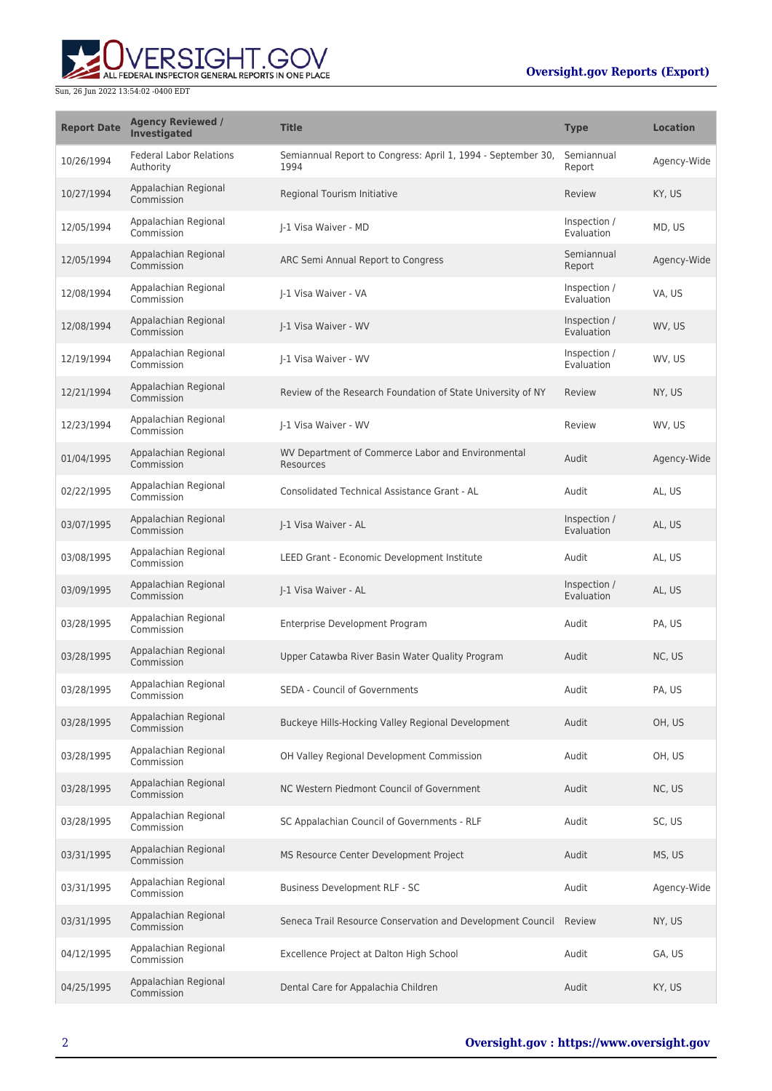## **Oversight.gov Reports (Export)**



| <b>Report Date</b> | <b>Agency Reviewed /</b><br>Investigated    | <b>Title</b>                                                         | <b>Type</b>                | <b>Location</b> |
|--------------------|---------------------------------------------|----------------------------------------------------------------------|----------------------------|-----------------|
| 10/26/1994         | <b>Federal Labor Relations</b><br>Authority | Semiannual Report to Congress: April 1, 1994 - September 30,<br>1994 | Semiannual<br>Report       | Agency-Wide     |
| 10/27/1994         | Appalachian Regional<br>Commission          | Regional Tourism Initiative                                          | Review                     | KY, US          |
| 12/05/1994         | Appalachian Regional<br>Commission          | I-1 Visa Waiver - MD                                                 | Inspection /<br>Evaluation | MD, US          |
| 12/05/1994         | Appalachian Regional<br>Commission          | ARC Semi Annual Report to Congress                                   | Semiannual<br>Report       | Agency-Wide     |
| 12/08/1994         | Appalachian Regional<br>Commission          | I-1 Visa Waiver - VA                                                 | Inspection /<br>Evaluation | VA, US          |
| 12/08/1994         | Appalachian Regional<br>Commission          | I-1 Visa Waiver - WV                                                 | Inspection /<br>Evaluation | WV, US          |
| 12/19/1994         | Appalachian Regional<br>Commission          | I-1 Visa Waiver - WV                                                 | Inspection /<br>Evaluation | WV, US          |
| 12/21/1994         | Appalachian Regional<br>Commission          | Review of the Research Foundation of State University of NY          | Review                     | NY, US          |
| 12/23/1994         | Appalachian Regional<br>Commission          | I-1 Visa Waiver - WV                                                 | Review                     | WV, US          |
| 01/04/1995         | Appalachian Regional<br>Commission          | WV Department of Commerce Labor and Environmental<br>Resources       | Audit                      | Agency-Wide     |
| 02/22/1995         | Appalachian Regional<br>Commission          | Consolidated Technical Assistance Grant - AL                         | Audit                      | AL, US          |
| 03/07/1995         | Appalachian Regional<br>Commission          | J-1 Visa Waiver - AL                                                 | Inspection /<br>Evaluation | AL, US          |
| 03/08/1995         | Appalachian Regional<br>Commission          | LEED Grant - Economic Development Institute                          | Audit                      | AL, US          |
| 03/09/1995         | Appalachian Regional<br>Commission          | J-1 Visa Waiver - AL                                                 | Inspection /<br>Evaluation | AL, US          |
| 03/28/1995         | Appalachian Regional<br>Commission          | Enterprise Development Program                                       | Audit                      | PA, US          |
| 03/28/1995         | Appalachian Regional<br>Commission          | Upper Catawba River Basin Water Quality Program                      | Audit                      | NC, US          |
| 03/28/1995         | Appalachian Regional<br>Commission          | <b>SEDA - Council of Governments</b>                                 | Audit                      | PA, US          |
| 03/28/1995         | Appalachian Regional<br>Commission          | Buckeye Hills-Hocking Valley Regional Development                    | Audit                      | OH, US          |
| 03/28/1995         | Appalachian Regional<br>Commission          | OH Valley Regional Development Commission                            | Audit                      | OH, US          |
| 03/28/1995         | Appalachian Regional<br>Commission          | NC Western Piedmont Council of Government                            | Audit                      | NC, US          |
| 03/28/1995         | Appalachian Regional<br>Commission          | SC Appalachian Council of Governments - RLF                          | Audit                      | SC, US          |
| 03/31/1995         | Appalachian Regional<br>Commission          | MS Resource Center Development Project                               | Audit                      | MS, US          |
| 03/31/1995         | Appalachian Regional<br>Commission          | <b>Business Development RLF - SC</b>                                 | Audit                      | Agency-Wide     |
| 03/31/1995         | Appalachian Regional<br>Commission          | Seneca Trail Resource Conservation and Development Council           | Review                     | NY, US          |
| 04/12/1995         | Appalachian Regional<br>Commission          | Excellence Project at Dalton High School                             | Audit                      | GA, US          |
| 04/25/1995         | Appalachian Regional<br>Commission          | Dental Care for Appalachia Children                                  | Audit                      | KY, US          |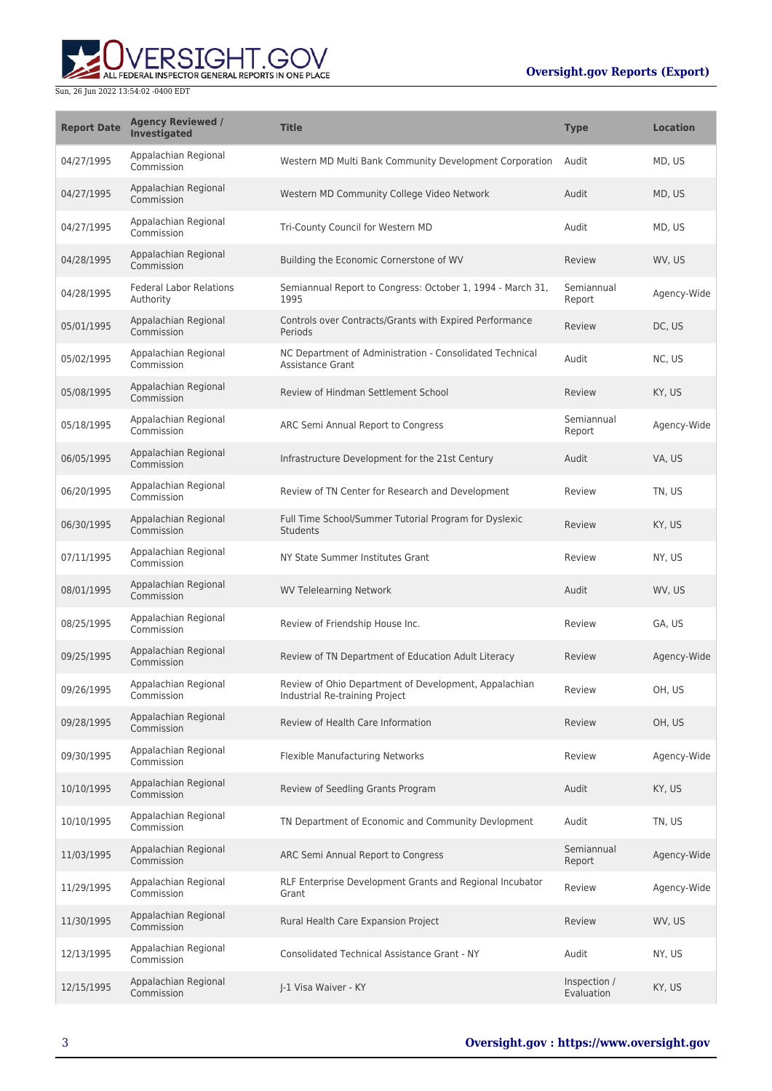## **Oversight.gov Reports (Export)**



| <b>Report Date</b> | <b>Agency Reviewed /</b><br>Investigated    | <b>Title</b>                                                                            | <b>Type</b>                | <b>Location</b> |
|--------------------|---------------------------------------------|-----------------------------------------------------------------------------------------|----------------------------|-----------------|
| 04/27/1995         | Appalachian Regional<br>Commission          | Western MD Multi Bank Community Development Corporation                                 | Audit                      | MD, US          |
| 04/27/1995         | Appalachian Regional<br>Commission          | Western MD Community College Video Network                                              | Audit                      | MD, US          |
| 04/27/1995         | Appalachian Regional<br>Commission          | Tri-County Council for Western MD                                                       | Audit                      | MD, US          |
| 04/28/1995         | Appalachian Regional<br>Commission          | Building the Economic Cornerstone of WV                                                 | Review                     | WV, US          |
| 04/28/1995         | <b>Federal Labor Relations</b><br>Authority | Semiannual Report to Congress: October 1, 1994 - March 31,<br>1995                      | Semiannual<br>Report       | Agency-Wide     |
| 05/01/1995         | Appalachian Regional<br>Commission          | Controls over Contracts/Grants with Expired Performance<br>Periods                      | Review                     | DC, US          |
| 05/02/1995         | Appalachian Regional<br>Commission          | NC Department of Administration - Consolidated Technical<br>Assistance Grant            | Audit                      | NC, US          |
| 05/08/1995         | Appalachian Regional<br>Commission          | Review of Hindman Settlement School                                                     | Review                     | KY, US          |
| 05/18/1995         | Appalachian Regional<br>Commission          | ARC Semi Annual Report to Congress                                                      | Semiannual<br>Report       | Agency-Wide     |
| 06/05/1995         | Appalachian Regional<br>Commission          | Infrastructure Development for the 21st Century                                         | Audit                      | VA, US          |
| 06/20/1995         | Appalachian Regional<br>Commission          | Review of TN Center for Research and Development                                        | Review                     | TN, US          |
| 06/30/1995         | Appalachian Regional<br>Commission          | Full Time School/Summer Tutorial Program for Dyslexic<br><b>Students</b>                | Review                     | KY, US          |
| 07/11/1995         | Appalachian Regional<br>Commission          | NY State Summer Institutes Grant                                                        | Review                     | NY, US          |
| 08/01/1995         | Appalachian Regional<br>Commission          | <b>WV Telelearning Network</b>                                                          | Audit                      | WV, US          |
| 08/25/1995         | Appalachian Regional<br>Commission          | Review of Friendship House Inc.                                                         | Review                     | GA, US          |
| 09/25/1995         | Appalachian Regional<br>Commission          | Review of TN Department of Education Adult Literacy                                     | Review                     | Agency-Wide     |
| 09/26/1995         | Appalachian Regional<br>Commission          | Review of Ohio Department of Development, Appalachian<br>Industrial Re-training Project | Review                     | OH, US          |
| 09/28/1995         | Appalachian Regional<br>Commission          | Review of Health Care Information                                                       | Review                     | OH, US          |
| 09/30/1995         | Appalachian Regional<br>Commission          | Flexible Manufacturing Networks                                                         | Review                     | Agency-Wide     |
| 10/10/1995         | Appalachian Regional<br>Commission          | Review of Seedling Grants Program                                                       | Audit                      | KY, US          |
| 10/10/1995         | Appalachian Regional<br>Commission          | TN Department of Economic and Community Devlopment                                      | Audit                      | TN, US          |
| 11/03/1995         | Appalachian Regional<br>Commission          | ARC Semi Annual Report to Congress                                                      | Semiannual<br>Report       | Agency-Wide     |
| 11/29/1995         | Appalachian Regional<br>Commission          | RLF Enterprise Development Grants and Regional Incubator<br>Grant                       | Review                     | Agency-Wide     |
| 11/30/1995         | Appalachian Regional<br>Commission          | Rural Health Care Expansion Project                                                     | Review                     | WV, US          |
| 12/13/1995         | Appalachian Regional<br>Commission          | <b>Consolidated Technical Assistance Grant - NY</b>                                     | Audit                      | NY, US          |
| 12/15/1995         | Appalachian Regional<br>Commission          | J-1 Visa Waiver - KY                                                                    | Inspection /<br>Evaluation | KY, US          |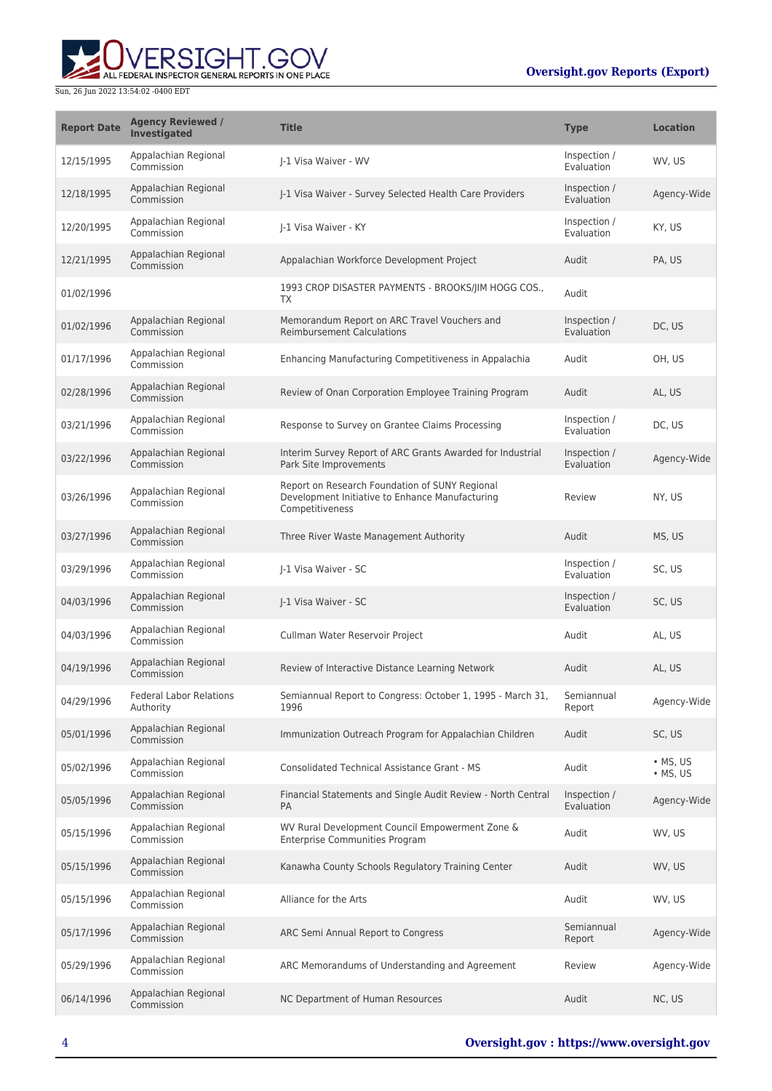# RSIGHT.GOV ALL FEDERAL INSPECTOR GENERAL REPORTS IN ONE PLACE

| <b>Report Date</b> | <b>Agency Reviewed /</b><br>Investigated    | <b>Title</b>                                                                                                         | <b>Type</b>                | <b>Location</b>                    |
|--------------------|---------------------------------------------|----------------------------------------------------------------------------------------------------------------------|----------------------------|------------------------------------|
| 12/15/1995         | Appalachian Regional<br>Commission          | I-1 Visa Waiver - WV                                                                                                 | Inspection /<br>Evaluation | WV, US                             |
| 12/18/1995         | Appalachian Regional<br>Commission          | J-1 Visa Waiver - Survey Selected Health Care Providers                                                              | Inspection /<br>Evaluation | Agency-Wide                        |
| 12/20/1995         | Appalachian Regional<br>Commission          | I-1 Visa Waiver - KY                                                                                                 | Inspection /<br>Evaluation | KY, US                             |
| 12/21/1995         | Appalachian Regional<br>Commission          | Appalachian Workforce Development Project                                                                            | Audit                      | PA, US                             |
| 01/02/1996         |                                             | 1993 CROP DISASTER PAYMENTS - BROOKS/JIM HOGG COS.,<br>ТX                                                            | Audit                      |                                    |
| 01/02/1996         | Appalachian Regional<br>Commission          | Memorandum Report on ARC Travel Vouchers and<br><b>Reimbursement Calculations</b>                                    | Inspection /<br>Evaluation | DC, US                             |
| 01/17/1996         | Appalachian Regional<br>Commission          | Enhancing Manufacturing Competitiveness in Appalachia                                                                | Audit                      | OH, US                             |
| 02/28/1996         | Appalachian Regional<br>Commission          | Review of Onan Corporation Employee Training Program                                                                 | Audit                      | AL, US                             |
| 03/21/1996         | Appalachian Regional<br>Commission          | Response to Survey on Grantee Claims Processing                                                                      | Inspection /<br>Evaluation | DC, US                             |
| 03/22/1996         | Appalachian Regional<br>Commission          | Interim Survey Report of ARC Grants Awarded for Industrial<br>Park Site Improvements                                 | Inspection /<br>Evaluation | Agency-Wide                        |
| 03/26/1996         | Appalachian Regional<br>Commission          | Report on Research Foundation of SUNY Regional<br>Development Initiative to Enhance Manufacturing<br>Competitiveness | Review                     | NY, US                             |
| 03/27/1996         | Appalachian Regional<br>Commission          | Three River Waste Management Authority                                                                               | Audit                      | MS, US                             |
| 03/29/1996         | Appalachian Regional<br>Commission          | J-1 Visa Waiver - SC                                                                                                 | Inspection /<br>Evaluation | SC, US                             |
| 04/03/1996         | Appalachian Regional<br>Commission          | J-1 Visa Waiver - SC                                                                                                 | Inspection /<br>Evaluation | SC, US                             |
| 04/03/1996         | Appalachian Regional<br>Commission          | Cullman Water Reservoir Project                                                                                      | Audit                      | AL, US                             |
| 04/19/1996         | Appalachian Regional<br>Commission          | Review of Interactive Distance Learning Network                                                                      | Audit                      | AL, US                             |
| 04/29/1996         | <b>Federal Labor Relations</b><br>Authority | Semiannual Report to Congress: October 1, 1995 - March 31,<br>1996                                                   | Semiannual<br>Report       | Agency-Wide                        |
| 05/01/1996         | Appalachian Regional<br>Commission          | Immunization Outreach Program for Appalachian Children                                                               | Audit                      | SC, US                             |
| 05/02/1996         | Appalachian Regional<br>Commission          | Consolidated Technical Assistance Grant - MS                                                                         | Audit                      | $\bullet$ MS, US<br>$\cdot$ MS, US |
| 05/05/1996         | Appalachian Regional<br>Commission          | Financial Statements and Single Audit Review - North Central<br>PA                                                   | Inspection /<br>Evaluation | Agency-Wide                        |
| 05/15/1996         | Appalachian Regional<br>Commission          | WV Rural Development Council Empowerment Zone &<br><b>Enterprise Communities Program</b>                             | Audit                      | WV, US                             |
| 05/15/1996         | Appalachian Regional<br>Commission          | Kanawha County Schools Regulatory Training Center                                                                    | Audit                      | WV, US                             |
| 05/15/1996         | Appalachian Regional<br>Commission          | Alliance for the Arts                                                                                                | Audit                      | WV, US                             |
| 05/17/1996         | Appalachian Regional<br>Commission          | ARC Semi Annual Report to Congress                                                                                   | Semiannual<br>Report       | Agency-Wide                        |
| 05/29/1996         | Appalachian Regional<br>Commission          | ARC Memorandums of Understanding and Agreement                                                                       | Review                     | Agency-Wide                        |
| 06/14/1996         | Appalachian Regional<br>Commission          | NC Department of Human Resources                                                                                     | Audit                      | NC, US                             |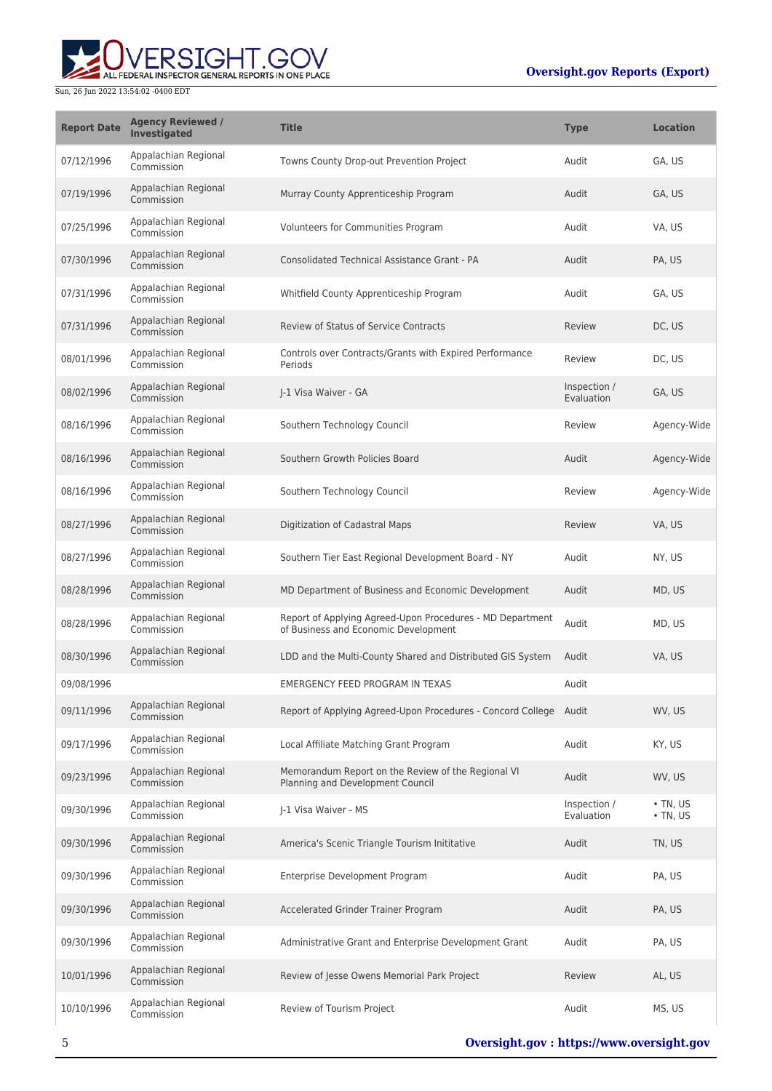

| <b>Report Date</b> | <b>Agency Reviewed /</b><br>Investigated | <b>Title</b>                                                                                      | <b>Type</b>                | <b>Location</b>                  |
|--------------------|------------------------------------------|---------------------------------------------------------------------------------------------------|----------------------------|----------------------------------|
| 07/12/1996         | Appalachian Regional<br>Commission       | Towns County Drop-out Prevention Project                                                          | Audit                      | GA, US                           |
| 07/19/1996         | Appalachian Regional<br>Commission       | Murray County Apprenticeship Program                                                              | Audit                      | GA, US                           |
| 07/25/1996         | Appalachian Regional<br>Commission       | Volunteers for Communities Program                                                                | Audit                      | VA, US                           |
| 07/30/1996         | Appalachian Regional<br>Commission       | Consolidated Technical Assistance Grant - PA                                                      | Audit                      | PA, US                           |
| 07/31/1996         | Appalachian Regional<br>Commission       | Whitfield County Apprenticeship Program                                                           | Audit                      | GA, US                           |
| 07/31/1996         | Appalachian Regional<br>Commission       | <b>Review of Status of Service Contracts</b>                                                      | Review                     | DC, US                           |
| 08/01/1996         | Appalachian Regional<br>Commission       | Controls over Contracts/Grants with Expired Performance<br>Periods                                | Review                     | DC, US                           |
| 08/02/1996         | Appalachian Regional<br>Commission       | I-1 Visa Waiver - GA                                                                              | Inspection /<br>Evaluation | GA, US                           |
| 08/16/1996         | Appalachian Regional<br>Commission       | Southern Technology Council                                                                       | Review                     | Agency-Wide                      |
| 08/16/1996         | Appalachian Regional<br>Commission       | Southern Growth Policies Board                                                                    | Audit                      | Agency-Wide                      |
| 08/16/1996         | Appalachian Regional<br>Commission       | Southern Technology Council                                                                       | Review                     | Agency-Wide                      |
| 08/27/1996         | Appalachian Regional<br>Commission       | Digitization of Cadastral Maps                                                                    | Review                     | VA, US                           |
| 08/27/1996         | Appalachian Regional<br>Commission       | Southern Tier East Regional Development Board - NY                                                | Audit                      | NY, US                           |
| 08/28/1996         | Appalachian Regional<br>Commission       | MD Department of Business and Economic Development                                                | Audit                      | MD, US                           |
| 08/28/1996         | Appalachian Regional<br>Commission       | Report of Applying Agreed-Upon Procedures - MD Department<br>of Business and Economic Development | Audit                      | MD, US                           |
| 08/30/1996         | Appalachian Regional<br>Commission       | LDD and the Multi-County Shared and Distributed GIS System                                        | Audit                      | VA, US                           |
| 09/08/1996         |                                          | <b>EMERGENCY FEED PROGRAM IN TEXAS</b>                                                            | Audit                      |                                  |
| 09/11/1996         | Appalachian Regional<br>Commission       | Report of Applying Agreed-Upon Procedures - Concord College Audit                                 |                            | WV. US                           |
| 09/17/1996         | Appalachian Regional<br>Commission       | Local Affiliate Matching Grant Program                                                            | Audit                      | KY, US                           |
| 09/23/1996         | Appalachian Regional<br>Commission       | Memorandum Report on the Review of the Regional VI<br>Planning and Development Council            | Audit                      | WV, US                           |
| 09/30/1996         | Appalachian Regional<br>Commission       | I-1 Visa Waiver - MS                                                                              | Inspection /<br>Evaluation | $\cdot$ TN, US<br>$\cdot$ TN, US |
| 09/30/1996         | Appalachian Regional<br>Commission       | America's Scenic Triangle Tourism Inititative                                                     | Audit                      | TN, US                           |
| 09/30/1996         | Appalachian Regional<br>Commission       | Enterprise Development Program                                                                    | Audit                      | PA, US                           |
| 09/30/1996         | Appalachian Regional<br>Commission       | Accelerated Grinder Trainer Program                                                               | Audit                      | PA, US                           |
| 09/30/1996         | Appalachian Regional<br>Commission       | Administrative Grant and Enterprise Development Grant                                             | Audit                      | PA, US                           |
| 10/01/1996         | Appalachian Regional<br>Commission       | Review of Jesse Owens Memorial Park Project                                                       | Review                     | AL, US                           |
| 10/10/1996         | Appalachian Regional<br>Commission       | Review of Tourism Project                                                                         | Audit                      | MS, US                           |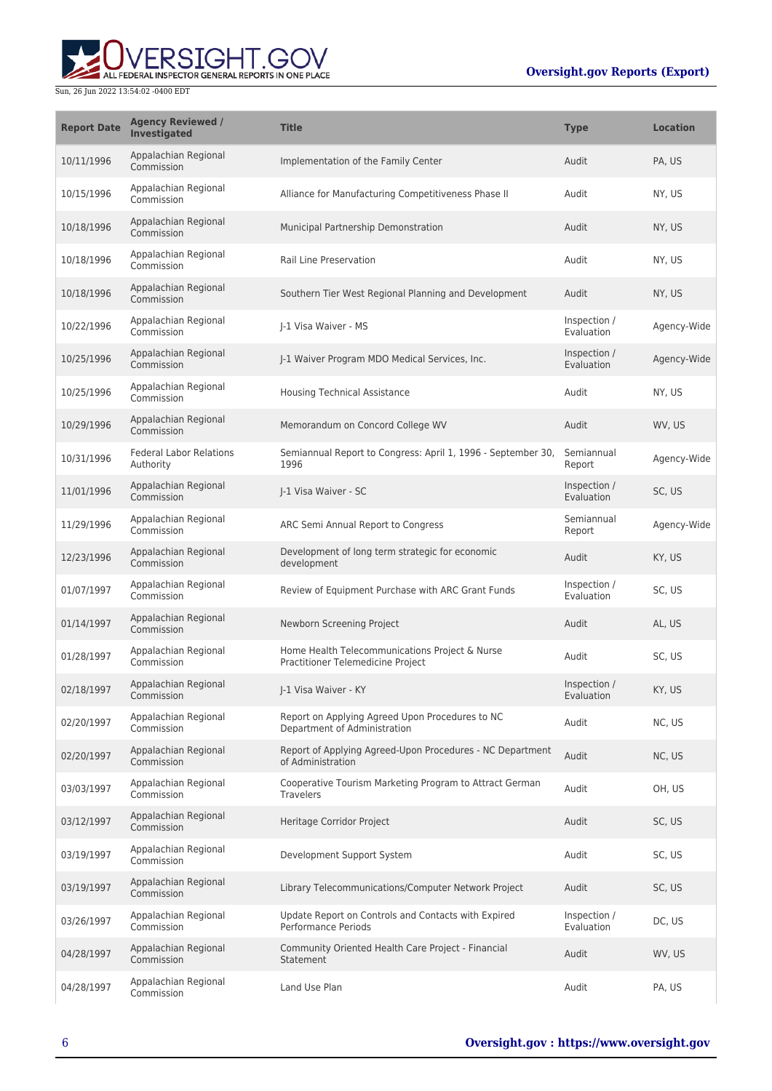

| <b>Report Date</b> | <b>Agency Reviewed /</b><br>Investigated    | <b>Title</b>                                                                        | <b>Type</b>                | <b>Location</b> |
|--------------------|---------------------------------------------|-------------------------------------------------------------------------------------|----------------------------|-----------------|
| 10/11/1996         | Appalachian Regional<br>Commission          | Implementation of the Family Center                                                 | Audit                      | PA, US          |
| 10/15/1996         | Appalachian Regional<br>Commission          | Alliance for Manufacturing Competitiveness Phase II                                 | Audit                      | NY, US          |
| 10/18/1996         | Appalachian Regional<br>Commission          | Municipal Partnership Demonstration                                                 | Audit                      | NY, US          |
| 10/18/1996         | Appalachian Regional<br>Commission          | Rail Line Preservation                                                              | Audit                      | NY, US          |
| 10/18/1996         | Appalachian Regional<br>Commission          | Southern Tier West Regional Planning and Development                                | Audit                      | NY, US          |
| 10/22/1996         | Appalachian Regional<br>Commission          | I-1 Visa Waiver - MS                                                                | Inspection /<br>Evaluation | Agency-Wide     |
| 10/25/1996         | Appalachian Regional<br>Commission          | J-1 Waiver Program MDO Medical Services, Inc.                                       | Inspection /<br>Evaluation | Agency-Wide     |
| 10/25/1996         | Appalachian Regional<br>Commission          | <b>Housing Technical Assistance</b>                                                 | Audit                      | NY, US          |
| 10/29/1996         | Appalachian Regional<br>Commission          | Memorandum on Concord College WV                                                    | Audit                      | WV, US          |
| 10/31/1996         | <b>Federal Labor Relations</b><br>Authority | Semiannual Report to Congress: April 1, 1996 - September 30,<br>1996                | Semiannual<br>Report       | Agency-Wide     |
| 11/01/1996         | Appalachian Regional<br>Commission          | J-1 Visa Waiver - SC                                                                | Inspection /<br>Evaluation | SC, US          |
| 11/29/1996         | Appalachian Regional<br>Commission          | ARC Semi Annual Report to Congress                                                  | Semiannual<br>Report       | Agency-Wide     |
| 12/23/1996         | Appalachian Regional<br>Commission          | Development of long term strategic for economic<br>development                      | Audit                      | KY, US          |
| 01/07/1997         | Appalachian Regional<br>Commission          | Review of Equipment Purchase with ARC Grant Funds                                   | Inspection /<br>Evaluation | SC, US          |
| 01/14/1997         | Appalachian Regional<br>Commission          | Newborn Screening Project                                                           | Audit                      | AL, US          |
| 01/28/1997         | Appalachian Regional<br>Commission          | Home Health Telecommunications Project & Nurse<br>Practitioner Telemedicine Project | Audit                      | SC, US          |
| 02/18/1997         | Appalachian Regional<br>Commission          | J-1 Visa Waiver - KY                                                                | Inspection /<br>Evaluation | KY, US          |
| 02/20/1997         | Appalachian Regional<br>Commission          | Report on Applying Agreed Upon Procedures to NC<br>Department of Administration     | Audit                      | NC, US          |
| 02/20/1997         | Appalachian Regional<br>Commission          | Report of Applying Agreed-Upon Procedures - NC Department<br>of Administration      | Audit                      | NC, US          |
| 03/03/1997         | Appalachian Regional<br>Commission          | Cooperative Tourism Marketing Program to Attract German<br><b>Travelers</b>         | Audit                      | OH, US          |
| 03/12/1997         | Appalachian Regional<br>Commission          | Heritage Corridor Project                                                           | Audit                      | SC, US          |
| 03/19/1997         | Appalachian Regional<br>Commission          | Development Support System                                                          | Audit                      | SC, US          |
| 03/19/1997         | Appalachian Regional<br>Commission          | Library Telecommunications/Computer Network Project                                 | Audit                      | SC, US          |
| 03/26/1997         | Appalachian Regional<br>Commission          | Update Report on Controls and Contacts with Expired<br><b>Performance Periods</b>   | Inspection /<br>Evaluation | DC, US          |
| 04/28/1997         | Appalachian Regional<br>Commission          | Community Oriented Health Care Project - Financial<br>Statement                     | Audit                      | WV, US          |
| 04/28/1997         | Appalachian Regional<br>Commission          | Land Use Plan                                                                       | Audit                      | PA, US          |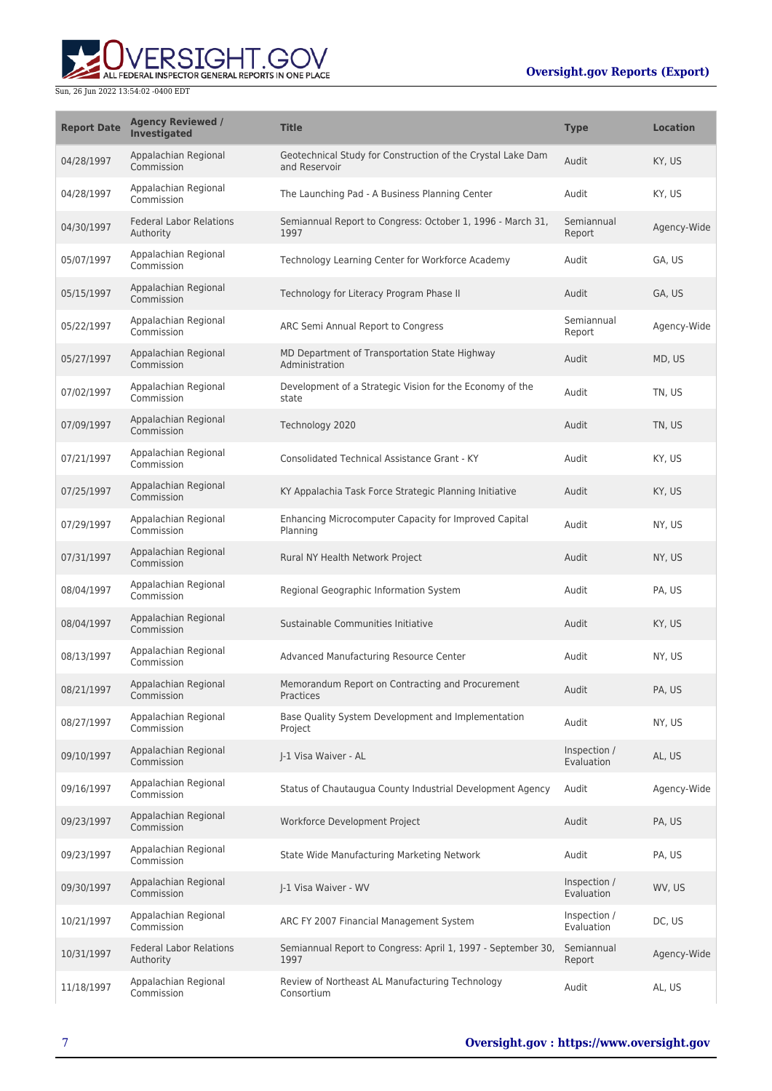# ALL FEDERAL INSPECTOR GENERAL REPORTS IN ONE PLACE Sun, 26 Jun 2022 13:54:02 -0400 EDT

| <b>Report Date</b> | <b>Agency Reviewed /</b><br><b>Investigated</b> | <b>Title</b>                                                                 | <b>Type</b>                | <b>Location</b> |
|--------------------|-------------------------------------------------|------------------------------------------------------------------------------|----------------------------|-----------------|
| 04/28/1997         | Appalachian Regional<br>Commission              | Geotechnical Study for Construction of the Crystal Lake Dam<br>and Reservoir | Audit                      | KY, US          |
| 04/28/1997         | Appalachian Regional<br>Commission              | The Launching Pad - A Business Planning Center                               | Audit                      | KY, US          |
| 04/30/1997         | <b>Federal Labor Relations</b><br>Authority     | Semiannual Report to Congress: October 1, 1996 - March 31,<br>1997           | Semiannual<br>Report       | Agency-Wide     |
| 05/07/1997         | Appalachian Regional<br>Commission              | Technology Learning Center for Workforce Academy                             | Audit                      | GA, US          |
| 05/15/1997         | Appalachian Regional<br>Commission              | Technology for Literacy Program Phase II                                     | Audit                      | GA, US          |
| 05/22/1997         | Appalachian Regional<br>Commission              | ARC Semi Annual Report to Congress                                           | Semiannual<br>Report       | Agency-Wide     |
| 05/27/1997         | Appalachian Regional<br>Commission              | MD Department of Transportation State Highway<br>Administration              | Audit                      | MD, US          |
| 07/02/1997         | Appalachian Regional<br>Commission              | Development of a Strategic Vision for the Economy of the<br>state            | Audit                      | TN, US          |
| 07/09/1997         | Appalachian Regional<br>Commission              | Technology 2020                                                              | Audit                      | TN, US          |
| 07/21/1997         | Appalachian Regional<br>Commission              | Consolidated Technical Assistance Grant - KY                                 | Audit                      | KY, US          |
| 07/25/1997         | Appalachian Regional<br>Commission              | KY Appalachia Task Force Strategic Planning Initiative                       | Audit                      | KY, US          |
| 07/29/1997         | Appalachian Regional<br>Commission              | Enhancing Microcomputer Capacity for Improved Capital<br>Planning            | Audit                      | NY, US          |
| 07/31/1997         | Appalachian Regional<br>Commission              | Rural NY Health Network Project                                              | Audit                      | NY, US          |
| 08/04/1997         | Appalachian Regional<br>Commission              | Regional Geographic Information System                                       | Audit                      | PA, US          |
| 08/04/1997         | Appalachian Regional<br>Commission              | Sustainable Communities Initiative                                           | Audit                      | KY, US          |
| 08/13/1997         | Appalachian Regional<br>Commission              | Advanced Manufacturing Resource Center                                       | Audit                      | NY, US          |
| 08/21/1997         | Appalachian Regional<br>Commission              | Memorandum Report on Contracting and Procurement<br>Practices                | Audit                      | PA. US          |
| 08/27/1997         | Appalachian Regional<br>Commission              | Base Quality System Development and Implementation<br>Project                | Audit                      | NY, US          |
| 09/10/1997         | Appalachian Regional<br>Commission              | J-1 Visa Waiver - AL                                                         | Inspection /<br>Evaluation | AL, US          |
| 09/16/1997         | Appalachian Regional<br>Commission              | Status of Chautaugua County Industrial Development Agency                    | Audit                      | Agency-Wide     |
| 09/23/1997         | Appalachian Regional<br>Commission              | Workforce Development Project                                                | Audit                      | PA, US          |
| 09/23/1997         | Appalachian Regional<br>Commission              | State Wide Manufacturing Marketing Network                                   | Audit                      | PA, US          |
| 09/30/1997         | Appalachian Regional<br>Commission              | J-1 Visa Waiver - WV                                                         | Inspection /<br>Evaluation | WV, US          |
| 10/21/1997         | Appalachian Regional<br>Commission              | ARC FY 2007 Financial Management System                                      | Inspection /<br>Evaluation | DC, US          |
| 10/31/1997         | <b>Federal Labor Relations</b><br>Authority     | Semiannual Report to Congress: April 1, 1997 - September 30,<br>1997         | Semiannual<br>Report       | Agency-Wide     |
| 11/18/1997         | Appalachian Regional<br>Commission              | Review of Northeast AL Manufacturing Technology<br>Consortium                | Audit                      | AL, US          |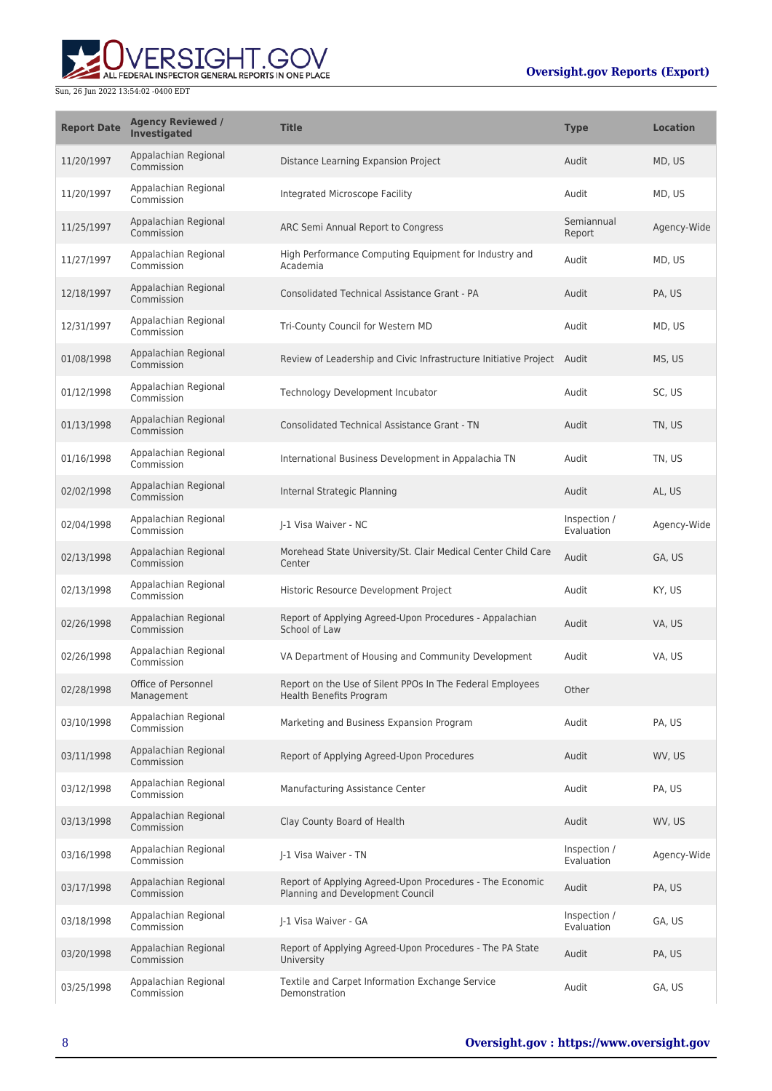

| <b>Report Date</b> | <b>Agency Reviewed /</b><br>Investigated | <b>Title</b>                                                                                 | <b>Type</b>                | <b>Location</b> |
|--------------------|------------------------------------------|----------------------------------------------------------------------------------------------|----------------------------|-----------------|
| 11/20/1997         | Appalachian Regional<br>Commission       | Distance Learning Expansion Project                                                          | Audit                      | MD, US          |
| 11/20/1997         | Appalachian Regional<br>Commission       | Integrated Microscope Facility                                                               | Audit                      | MD, US          |
| 11/25/1997         | Appalachian Regional<br>Commission       | ARC Semi Annual Report to Congress                                                           | Semiannual<br>Report       | Agency-Wide     |
| 11/27/1997         | Appalachian Regional<br>Commission       | High Performance Computing Equipment for Industry and<br>Academia                            | Audit                      | MD, US          |
| 12/18/1997         | Appalachian Regional<br>Commission       | <b>Consolidated Technical Assistance Grant - PA</b>                                          | Audit                      | PA, US          |
| 12/31/1997         | Appalachian Regional<br>Commission       | Tri-County Council for Western MD                                                            | Audit                      | MD, US          |
| 01/08/1998         | Appalachian Regional<br>Commission       | Review of Leadership and Civic Infrastructure Initiative Project Audit                       |                            | MS, US          |
| 01/12/1998         | Appalachian Regional<br>Commission       | Technology Development Incubator                                                             | Audit                      | SC, US          |
| 01/13/1998         | Appalachian Regional<br>Commission       | <b>Consolidated Technical Assistance Grant - TN</b>                                          | Audit                      | TN, US          |
| 01/16/1998         | Appalachian Regional<br>Commission       | International Business Development in Appalachia TN                                          | Audit                      | TN, US          |
| 02/02/1998         | Appalachian Regional<br>Commission       | Internal Strategic Planning                                                                  | Audit                      | AL, US          |
| 02/04/1998         | Appalachian Regional<br>Commission       | J-1 Visa Waiver - NC                                                                         | Inspection /<br>Evaluation | Agency-Wide     |
| 02/13/1998         | Appalachian Regional<br>Commission       | Morehead State University/St. Clair Medical Center Child Care<br>Center                      | Audit                      | GA, US          |
| 02/13/1998         | Appalachian Regional<br>Commission       | Historic Resource Development Project                                                        | Audit                      | KY, US          |
| 02/26/1998         | Appalachian Regional<br>Commission       | Report of Applying Agreed-Upon Procedures - Appalachian<br>School of Law                     | Audit                      | VA, US          |
| 02/26/1998         | Appalachian Regional<br>Commission       | VA Department of Housing and Community Development                                           | Audit                      | VA, US          |
| 02/28/1998         | Office of Personnel<br>Management        | Report on the Use of Silent PPOs In The Federal Employees<br>Health Benefits Program         | Other                      |                 |
| 03/10/1998         | Appalachian Regional<br>Commission       | Marketing and Business Expansion Program                                                     | Audit                      | PA, US          |
| 03/11/1998         | Appalachian Regional<br>Commission       | Report of Applying Agreed-Upon Procedures                                                    | Audit                      | WV, US          |
| 03/12/1998         | Appalachian Regional<br>Commission       | Manufacturing Assistance Center                                                              | Audit                      | PA, US          |
| 03/13/1998         | Appalachian Regional<br>Commission       | Clay County Board of Health                                                                  | Audit                      | WV, US          |
| 03/16/1998         | Appalachian Regional<br>Commission       | I-1 Visa Waiver - TN                                                                         | Inspection /<br>Evaluation | Agency-Wide     |
| 03/17/1998         | Appalachian Regional<br>Commission       | Report of Applying Agreed-Upon Procedures - The Economic<br>Planning and Development Council | Audit                      | PA, US          |
| 03/18/1998         | Appalachian Regional<br>Commission       | J-1 Visa Waiver - GA                                                                         | Inspection /<br>Evaluation | GA, US          |
| 03/20/1998         | Appalachian Regional<br>Commission       | Report of Applying Agreed-Upon Procedures - The PA State<br>University                       | Audit                      | PA, US          |
| 03/25/1998         | Appalachian Regional<br>Commission       | Textile and Carpet Information Exchange Service<br>Demonstration                             | Audit                      | GA, US          |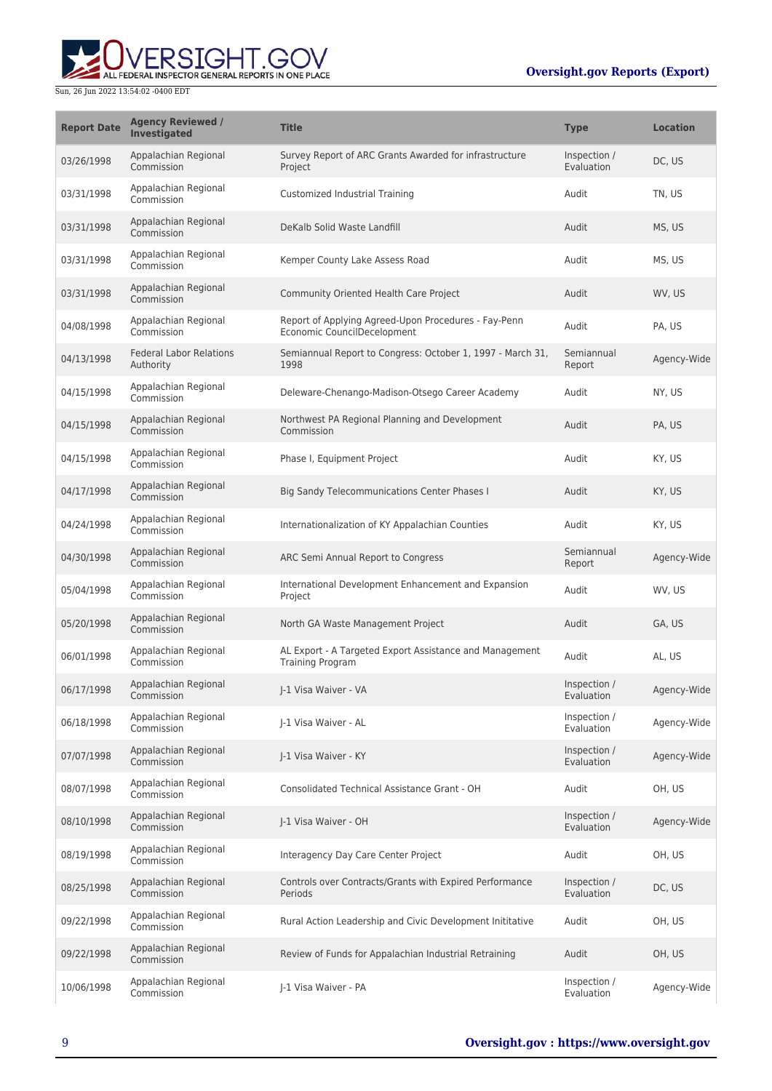

| <b>Report Date</b> | <b>Agency Reviewed /</b><br>Investigated    | <b>Title</b>                                                                        | <b>Type</b>                | <b>Location</b> |
|--------------------|---------------------------------------------|-------------------------------------------------------------------------------------|----------------------------|-----------------|
| 03/26/1998         | Appalachian Regional<br>Commission          | Survey Report of ARC Grants Awarded for infrastructure<br>Project                   | Inspection /<br>Evaluation | DC, US          |
| 03/31/1998         | Appalachian Regional<br>Commission          | Customized Industrial Training                                                      | Audit                      | TN, US          |
| 03/31/1998         | Appalachian Regional<br>Commission          | DeKalb Solid Waste Landfill                                                         | Audit                      | MS, US          |
| 03/31/1998         | Appalachian Regional<br>Commission          | Kemper County Lake Assess Road                                                      | Audit                      | MS, US          |
| 03/31/1998         | Appalachian Regional<br>Commission          | Community Oriented Health Care Project                                              | Audit                      | WV, US          |
| 04/08/1998         | Appalachian Regional<br>Commission          | Report of Applying Agreed-Upon Procedures - Fay-Penn<br>Economic CouncilDecelopment | Audit                      | PA, US          |
| 04/13/1998         | <b>Federal Labor Relations</b><br>Authority | Semiannual Report to Congress: October 1, 1997 - March 31,<br>1998                  | Semiannual<br>Report       | Agency-Wide     |
| 04/15/1998         | Appalachian Regional<br>Commission          | Deleware-Chenango-Madison-Otsego Career Academy                                     | Audit                      | NY, US          |
| 04/15/1998         | Appalachian Regional<br>Commission          | Northwest PA Regional Planning and Development<br>Commission                        | Audit                      | PA, US          |
| 04/15/1998         | Appalachian Regional<br>Commission          | Phase I, Equipment Project                                                          | Audit                      | KY, US          |
| 04/17/1998         | Appalachian Regional<br>Commission          | Big Sandy Telecommunications Center Phases I                                        | Audit                      | KY, US          |
| 04/24/1998         | Appalachian Regional<br>Commission          | Internationalization of KY Appalachian Counties                                     | Audit                      | KY, US          |
| 04/30/1998         | Appalachian Regional<br>Commission          | ARC Semi Annual Report to Congress                                                  | Semiannual<br>Report       | Agency-Wide     |
| 05/04/1998         | Appalachian Regional<br>Commission          | International Development Enhancement and Expansion<br>Project                      | Audit                      | WV, US          |
| 05/20/1998         | Appalachian Regional<br>Commission          | North GA Waste Management Project                                                   | Audit                      | GA, US          |
| 06/01/1998         | Appalachian Regional<br>Commission          | AL Export - A Targeted Export Assistance and Management<br><b>Training Program</b>  | Audit                      | AL, US          |
| 06/17/1998         | Appalachian Regional<br>Commission          | I-1 Visa Waiver - VA                                                                | Inspection /<br>Evaluation | Agency-Wide     |
| 06/18/1998         | Appalachian Regional<br>Commission          | J-1 Visa Waiver - AL                                                                | Inspection /<br>Evaluation | Agency-Wide     |
| 07/07/1998         | Appalachian Regional<br>Commission          | J-1 Visa Waiver - KY                                                                | Inspection /<br>Evaluation | Agency-Wide     |
| 08/07/1998         | Appalachian Regional<br>Commission          | Consolidated Technical Assistance Grant - OH                                        | Audit                      | OH, US          |
| 08/10/1998         | Appalachian Regional<br>Commission          | I-1 Visa Waiver - OH                                                                | Inspection /<br>Evaluation | Agency-Wide     |
| 08/19/1998         | Appalachian Regional<br>Commission          | Interagency Day Care Center Project                                                 | Audit                      | OH, US          |
| 08/25/1998         | Appalachian Regional<br>Commission          | Controls over Contracts/Grants with Expired Performance<br>Periods                  | Inspection /<br>Evaluation | DC, US          |
| 09/22/1998         | Appalachian Regional<br>Commission          | Rural Action Leadership and Civic Development Inititative                           | Audit                      | OH, US          |
| 09/22/1998         | Appalachian Regional<br>Commission          | Review of Funds for Appalachian Industrial Retraining                               | Audit                      | OH, US          |
| 10/06/1998         | Appalachian Regional<br>Commission          | J-1 Visa Waiver - PA                                                                | Inspection /<br>Evaluation | Agency-Wide     |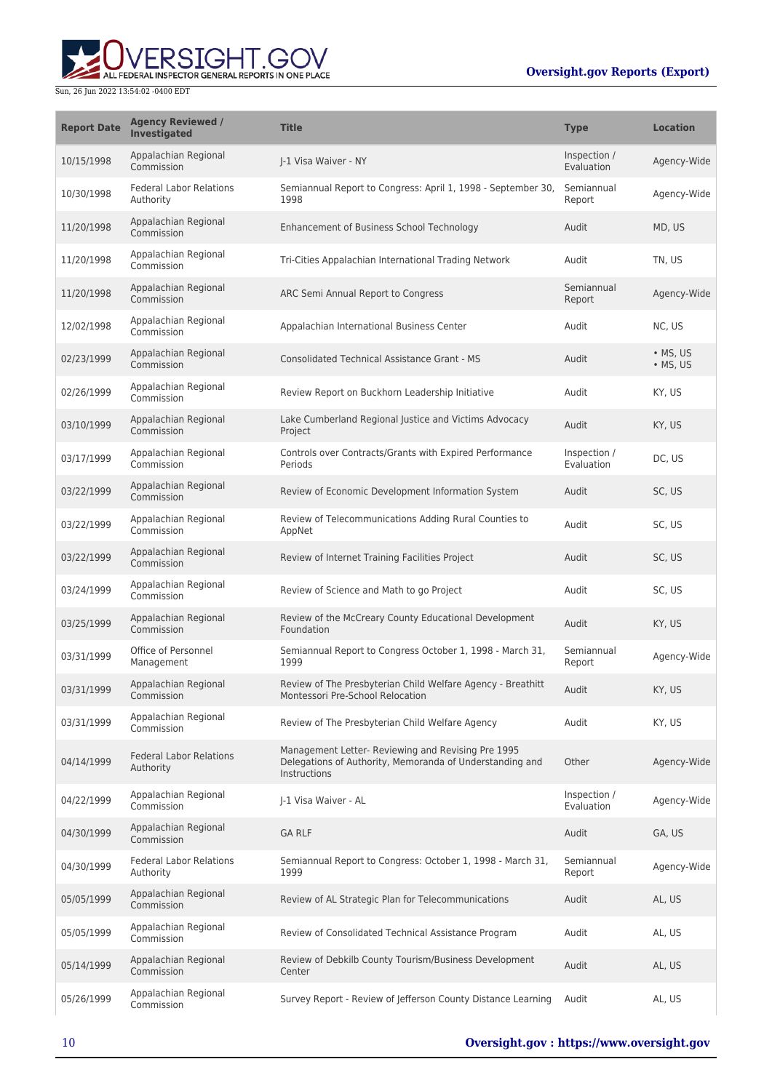# ERSIGHT.GOV ALL FEDERAL INSPECTOR GENERAL REPORTS IN ONE PLACE

| <b>Report Date</b> | <b>Agency Reviewed /</b><br><b>Investigated</b> | <b>Title</b>                                                                                                                   | <b>Type</b>                | <b>Location</b>              |
|--------------------|-------------------------------------------------|--------------------------------------------------------------------------------------------------------------------------------|----------------------------|------------------------------|
| 10/15/1998         | Appalachian Regional<br>Commission              | I-1 Visa Waiver - NY                                                                                                           | Inspection /<br>Evaluation | Agency-Wide                  |
| 10/30/1998         | <b>Federal Labor Relations</b><br>Authority     | Semiannual Report to Congress: April 1, 1998 - September 30,<br>1998                                                           | Semiannual<br>Report       | Agency-Wide                  |
| 11/20/1998         | Appalachian Regional<br>Commission              | Enhancement of Business School Technology                                                                                      | Audit                      | MD, US                       |
| 11/20/1998         | Appalachian Regional<br>Commission              | Tri-Cities Appalachian International Trading Network                                                                           | Audit                      | TN, US                       |
| 11/20/1998         | Appalachian Regional<br>Commission              | ARC Semi Annual Report to Congress                                                                                             | Semiannual<br>Report       | Agency-Wide                  |
| 12/02/1998         | Appalachian Regional<br>Commission              | Appalachian International Business Center                                                                                      | Audit                      | NC, US                       |
| 02/23/1999         | Appalachian Regional<br>Commission              | <b>Consolidated Technical Assistance Grant - MS</b>                                                                            | Audit                      | • MS, US<br>$\bullet$ MS, US |
| 02/26/1999         | Appalachian Regional<br>Commission              | Review Report on Buckhorn Leadership Initiative                                                                                | Audit                      | KY, US                       |
| 03/10/1999         | Appalachian Regional<br>Commission              | Lake Cumberland Regional Justice and Victims Advocacy<br>Project                                                               | Audit                      | KY, US                       |
| 03/17/1999         | Appalachian Regional<br>Commission              | Controls over Contracts/Grants with Expired Performance<br>Periods                                                             | Inspection /<br>Evaluation | DC, US                       |
| 03/22/1999         | Appalachian Regional<br>Commission              | Review of Economic Development Information System                                                                              | Audit                      | SC, US                       |
| 03/22/1999         | Appalachian Regional<br>Commission              | Review of Telecommunications Adding Rural Counties to<br>AppNet                                                                | Audit                      | SC, US                       |
| 03/22/1999         | Appalachian Regional<br>Commission              | Review of Internet Training Facilities Project                                                                                 | Audit                      | SC, US                       |
| 03/24/1999         | Appalachian Regional<br>Commission              | Review of Science and Math to go Project                                                                                       | Audit                      | SC, US                       |
| 03/25/1999         | Appalachian Regional<br>Commission              | Review of the McCreary County Educational Development<br>Foundation                                                            | Audit                      | KY, US                       |
| 03/31/1999         | Office of Personnel<br>Management               | Semiannual Report to Congress October 1, 1998 - March 31,<br>1999                                                              | Semiannual<br>Report       | Agency-Wide                  |
| 03/31/1999         | Appalachian Regional<br>Commission              | Review of The Presbyterian Child Welfare Agency - Breathitt<br>Montessori Pre-School Relocation                                | Audit                      | KY, US                       |
| 03/31/1999         | Appalachian Regional<br>Commission              | Review of The Presbyterian Child Welfare Agency                                                                                | Audit                      | KY, US                       |
| 04/14/1999         | <b>Federal Labor Relations</b><br>Authority     | Management Letter- Reviewing and Revising Pre 1995<br>Delegations of Authority, Memoranda of Understanding and<br>Instructions | Other                      | Agency-Wide                  |
| 04/22/1999         | Appalachian Regional<br>Commission              | J-1 Visa Waiver - AL                                                                                                           | Inspection /<br>Evaluation | Agency-Wide                  |
| 04/30/1999         | Appalachian Regional<br>Commission              | <b>GA RLF</b>                                                                                                                  | Audit                      | GA, US                       |
| 04/30/1999         | <b>Federal Labor Relations</b><br>Authority     | Semiannual Report to Congress: October 1, 1998 - March 31,<br>1999                                                             | Semiannual<br>Report       | Agency-Wide                  |
| 05/05/1999         | Appalachian Regional<br>Commission              | Review of AL Strategic Plan for Telecommunications                                                                             | Audit                      | AL, US                       |
| 05/05/1999         | Appalachian Regional<br>Commission              | Review of Consolidated Technical Assistance Program                                                                            | Audit                      | AL, US                       |
| 05/14/1999         | Appalachian Regional<br>Commission              | Review of Debkilb County Tourism/Business Development<br>Center                                                                | Audit                      | AL, US                       |
| 05/26/1999         | Appalachian Regional<br>Commission              | Survey Report - Review of Jefferson County Distance Learning                                                                   | Audit                      | AL, US                       |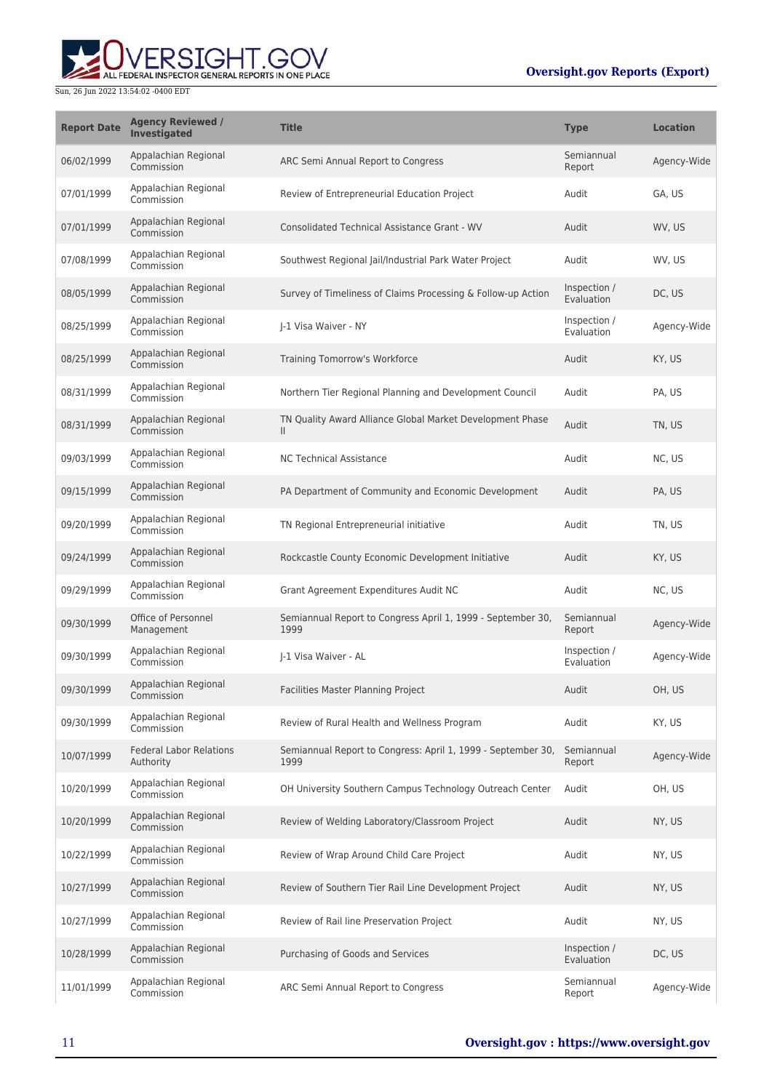

| <b>Report Date</b> | <b>Agency Reviewed /</b><br>Investigated    | <b>Title</b>                                                              | <b>Type</b>                | <b>Location</b> |
|--------------------|---------------------------------------------|---------------------------------------------------------------------------|----------------------------|-----------------|
| 06/02/1999         | Appalachian Regional<br>Commission          | ARC Semi Annual Report to Congress                                        | Semiannual<br>Report       | Agency-Wide     |
| 07/01/1999         | Appalachian Regional<br>Commission          | Review of Entrepreneurial Education Project                               | Audit                      | GA, US          |
| 07/01/1999         | Appalachian Regional<br>Commission          | <b>Consolidated Technical Assistance Grant - WV</b>                       | Audit                      | WV, US          |
| 07/08/1999         | Appalachian Regional<br>Commission          | Southwest Regional Jail/Industrial Park Water Project                     | Audit                      | WV, US          |
| 08/05/1999         | Appalachian Regional<br>Commission          | Survey of Timeliness of Claims Processing & Follow-up Action              | Inspection /<br>Evaluation | DC, US          |
| 08/25/1999         | Appalachian Regional<br>Commission          | J-1 Visa Waiver - NY                                                      | Inspection /<br>Evaluation | Agency-Wide     |
| 08/25/1999         | Appalachian Regional<br>Commission          | Training Tomorrow's Workforce                                             | Audit                      | KY, US          |
| 08/31/1999         | Appalachian Regional<br>Commission          | Northern Tier Regional Planning and Development Council                   | Audit                      | PA, US          |
| 08/31/1999         | Appalachian Regional<br>Commission          | TN Quality Award Alliance Global Market Development Phase<br>$\mathbf{H}$ | Audit                      | TN, US          |
| 09/03/1999         | Appalachian Regional<br>Commission          | <b>NC Technical Assistance</b>                                            | Audit                      | NC, US          |
| 09/15/1999         | Appalachian Regional<br>Commission          | PA Department of Community and Economic Development                       | Audit                      | PA, US          |
| 09/20/1999         | Appalachian Regional<br>Commission          | TN Regional Entrepreneurial initiative                                    | Audit                      | TN, US          |
| 09/24/1999         | Appalachian Regional<br>Commission          | Rockcastle County Economic Development Initiative                         | Audit                      | KY, US          |
| 09/29/1999         | Appalachian Regional<br>Commission          | Grant Agreement Expenditures Audit NC                                     | Audit                      | NC, US          |
| 09/30/1999         | Office of Personnel<br>Management           | Semiannual Report to Congress April 1, 1999 - September 30,<br>1999       | Semiannual<br>Report       | Agency-Wide     |
| 09/30/1999         | Appalachian Regional<br>Commission          | I-1 Visa Waiver - AL                                                      | Inspection /<br>Evaluation | Agency-Wide     |
| 09/30/1999         | Appalachian Regional<br>Commission          | Facilities Master Planning Project                                        | Audit                      | OH, US          |
| 09/30/1999         | Appalachian Regional<br>Commission          | Review of Rural Health and Wellness Program                               | Audit                      | KY, US          |
| 10/07/1999         | <b>Federal Labor Relations</b><br>Authority | Semiannual Report to Congress: April 1, 1999 - September 30,<br>1999      | Semiannual<br>Report       | Agency-Wide     |
| 10/20/1999         | Appalachian Regional<br>Commission          | OH University Southern Campus Technology Outreach Center                  | Audit                      | OH, US          |
| 10/20/1999         | Appalachian Regional<br>Commission          | Review of Welding Laboratory/Classroom Project                            | Audit                      | NY, US          |
| 10/22/1999         | Appalachian Regional<br>Commission          | Review of Wrap Around Child Care Project                                  | Audit                      | NY, US          |
| 10/27/1999         | Appalachian Regional<br>Commission          | Review of Southern Tier Rail Line Development Project                     | Audit                      | NY, US          |
| 10/27/1999         | Appalachian Regional<br>Commission          | Review of Rail line Preservation Project                                  | Audit                      | NY, US          |
| 10/28/1999         | Appalachian Regional<br>Commission          | Purchasing of Goods and Services                                          | Inspection /<br>Evaluation | DC, US          |
| 11/01/1999         | Appalachian Regional<br>Commission          | ARC Semi Annual Report to Congress                                        | Semiannual<br>Report       | Agency-Wide     |